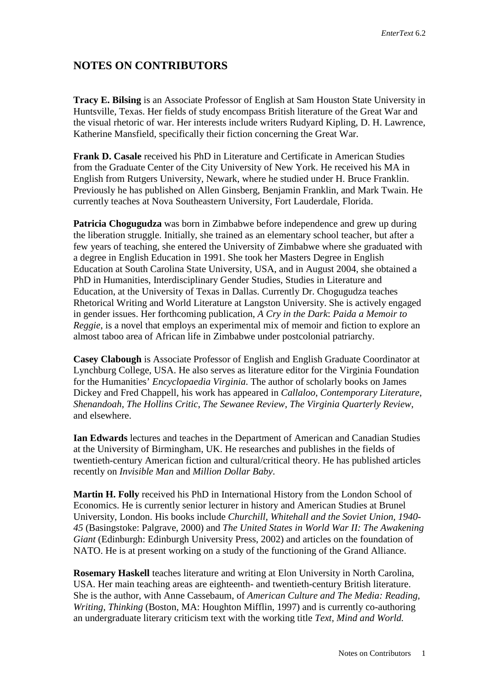## **NOTES ON CONTRIBUTORS**

**Tracy E. Bilsing** is an Associate Professor of English at Sam Houston State University in Huntsville, Texas. Her fields of study encompass British literature of the Great War and the visual rhetoric of war. Her interests include writers Rudyard Kipling, D. H. Lawrence, Katherine Mansfield, specifically their fiction concerning the Great War.

**Frank D. Casale** received his PhD in Literature and Certificate in American Studies from the Graduate Center of the City University of New York. He received his MA in English from Rutgers University, Newark, where he studied under H. Bruce Franklin. Previously he has published on Allen Ginsberg, Benjamin Franklin, and Mark Twain. He currently teaches at Nova Southeastern University, Fort Lauderdale, Florida.

**Patricia Chogugudza** was born in Zimbabwe before independence and grew up during the liberation struggle. Initially, she trained as an elementary school teacher, but after a few years of teaching, she entered the University of Zimbabwe where she graduated with a degree in English Education in 1991. She took her Masters Degree in English Education at South Carolina State University, USA, and in August 2004, she obtained a PhD in Humanities, Interdisciplinary Gender Studies, Studies in Literature and Education, at the University of Texas in Dallas. Currently Dr. Chogugudza teaches Rhetorical Writing and World Literature at Langston University. She is actively engaged in gender issues. Her forthcoming publication, *A Cry in the Dark*: *Paida a Memoir to Reggie*, is a novel that employs an experimental mix of memoir and fiction to explore an almost taboo area of African life in Zimbabwe under postcolonial patriarchy.

**Casey Clabough** is Associate Professor of English and English Graduate Coordinator at Lynchburg College, USA. He also serves as literature editor for the Virginia Foundation for the Humanities' *Encyclopaedia Virginia*. The author of scholarly books on James Dickey and Fred Chappell, his work has appeared in *Callaloo*, *Contemporary Literature*, *Shenandoah*, *The Hollins Critic*, *The Sewanee Review*, *The Virginia Quarterly Review*, and elsewhere.

**Ian Edwards** lectures and teaches in the Department of American and Canadian Studies at the University of Birmingham, UK. He researches and publishes in the fields of twentieth-century American fiction and cultural/critical theory. He has published articles recently on *Invisible Man* and *Million Dollar Baby*.

**Martin H. Folly** received his PhD in International History from the London School of Economics. He is currently senior lecturer in history and American Studies at Brunel University, London. His books include *Churchill, Whitehall and the Soviet Union, 1940- 45* (Basingstoke: Palgrave, 2000) and *The United States in World War II: The Awakening Giant* (Edinburgh: Edinburgh University Press, 2002) and articles on the foundation of NATO. He is at present working on a study of the functioning of the Grand Alliance.

**Rosemary Haskell** teaches literature and writing at Elon University in North Carolina, USA. Her main teaching areas are eighteenth- and twentieth-century British literature. She is the author, with Anne Cassebaum, of *American Culture and The Media: Reading, Writing, Thinking (Boston, MA: Houghton Mifflin, 1997) and is currently co-authoring* an undergraduate literary criticism text with the working title *Text, Mind and World.*